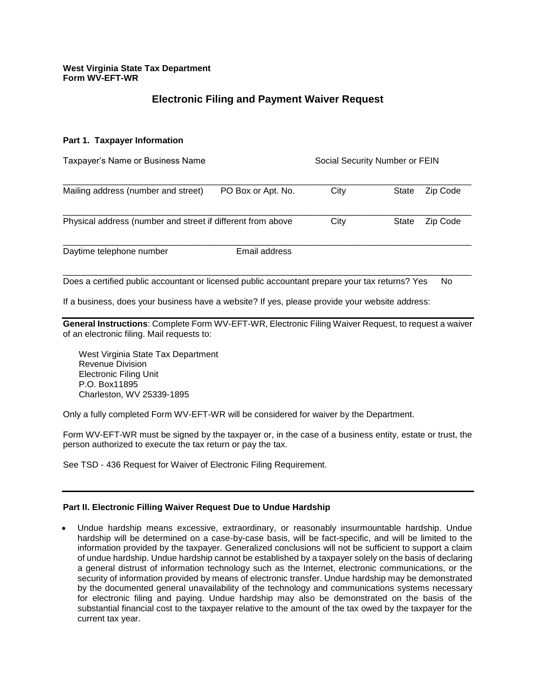# **Electronic Filing and Payment Waiver Request**

#### **Part 1. Taxpayer Information**

| Taxpayer's Name or Business Name                            |                    | Social Security Number or FEIN |                          |  |
|-------------------------------------------------------------|--------------------|--------------------------------|--------------------------|--|
| Mailing address (number and street)                         | PO Box or Apt. No. | City                           | <b>State</b><br>Zip Code |  |
| Physical address (number and street if different from above |                    | City                           | Zip Code<br><b>State</b> |  |
| Daytime telephone number                                    | Email address      |                                |                          |  |

Does a certified public accountant or licensed public accountant prepare your tax returns? Yes No

If a business, does your business have a website? If yes, please provide your website address:

**General Instructions**: Complete Form WV-EFT-WR, Electronic Filing Waiver Request, to request a waiver of an electronic filing. Mail requests to:

West Virginia State Tax Department Revenue Division Electronic Filing Unit P.O. Box11895 Charleston, WV 25339-1895

Only a fully completed Form WV-EFT-WR will be considered for waiver by the Department.

Form WV-EFT-WR must be signed by the taxpayer or, in the case of a business entity, estate or trust, the person authorized to execute the tax return or pay the tax.

See TSD - 436 Request for Waiver of Electronic Filing Requirement.

## **Part II. Electronic Filling Waiver Request Due to Undue Hardship**

• Undue hardship means excessive, extraordinary, or reasonably insurmountable hardship. Undue hardship will be determined on a case-by-case basis, will be fact-specific, and will be limited to the information provided by the taxpayer. Generalized conclusions will not be sufficient to support a claim of undue hardship. Undue hardship cannot be established by a taxpayer solely on the basis of declaring a general distrust of information technology such as the Internet, electronic communications, or the security of information provided by means of electronic transfer. Undue hardship may be demonstrated by the documented general unavailability of the technology and communications systems necessary for electronic filing and paying. Undue hardship may also be demonstrated on the basis of the substantial financial cost to the taxpayer relative to the amount of the tax owed by the taxpayer for the current tax year.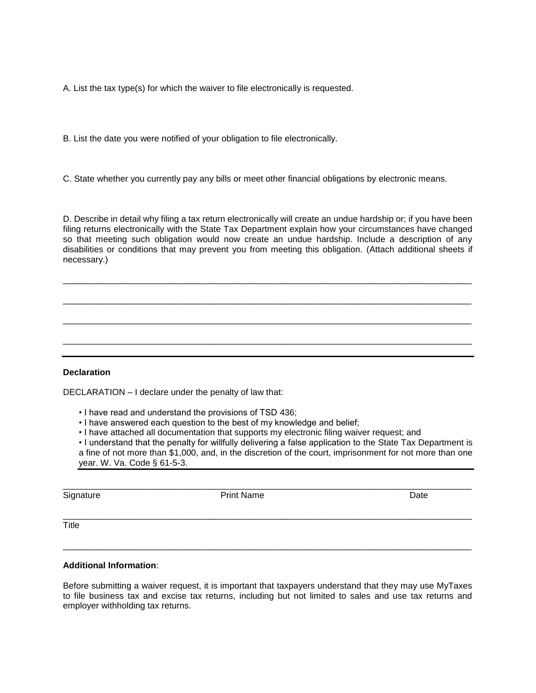A. List the tax type(s) for which the waiver to file electronically is requested.

B. List the date you were notified of your obligation to file electronically.

C. State whether you currently pay any bills or meet other financial obligations by electronic means.

D. Describe in detail why filing a tax return electronically will create an undue hardship or; if you have been filing returns electronically with the State Tax Department explain how your circumstances have changed so that meeting such obligation would now create an undue hardship. Include a description of any disabilities or conditions that may prevent you from meeting this obligation. (Attach additional sheets if necessary.)

\_\_\_\_\_\_\_\_\_\_\_\_\_\_\_\_\_\_\_\_\_\_\_\_\_\_\_\_\_\_\_\_\_\_\_\_\_\_\_\_\_\_\_\_\_\_\_\_\_\_\_\_\_\_\_\_\_\_\_\_\_\_\_\_\_\_\_\_\_\_\_\_\_\_\_\_\_\_\_\_\_\_\_\_

\_\_\_\_\_\_\_\_\_\_\_\_\_\_\_\_\_\_\_\_\_\_\_\_\_\_\_\_\_\_\_\_\_\_\_\_\_\_\_\_\_\_\_\_\_\_\_\_\_\_\_\_\_\_\_\_\_\_\_\_\_\_\_\_\_\_\_\_\_\_\_\_\_\_\_\_\_\_\_\_\_\_\_\_

\_\_\_\_\_\_\_\_\_\_\_\_\_\_\_\_\_\_\_\_\_\_\_\_\_\_\_\_\_\_\_\_\_\_\_\_\_\_\_\_\_\_\_\_\_\_\_\_\_\_\_\_\_\_\_\_\_\_\_\_\_\_\_\_\_\_\_\_\_\_\_\_\_\_\_\_\_\_\_\_\_\_\_\_

\_\_\_\_\_\_\_\_\_\_\_\_\_\_\_\_\_\_\_\_\_\_\_\_\_\_\_\_\_\_\_\_\_\_\_\_\_\_\_\_\_\_\_\_\_\_\_\_\_\_\_\_\_\_\_\_\_\_\_\_\_\_\_\_\_\_\_\_\_\_\_\_\_\_\_\_\_\_\_\_\_\_\_\_

**Declaration**

DECLARATION – I declare under the penalty of law that:

- I have read and understand the provisions of TSD 436;
- I have answered each question to the best of my knowledge and belief;
- I have attached all documentation that supports my electronic filing waiver request; and

• I understand that the penalty for willfully delivering a false application to the State Tax Department is a fine of not more than \$1,000, and, in the discretion of the court, imprisonment for not more than one year. W. Va. Code § 61-5-3.

\_\_\_\_\_\_\_\_\_\_\_\_\_\_\_\_\_\_\_\_\_\_\_\_\_\_\_\_\_\_\_\_\_\_\_\_\_\_\_\_\_\_\_\_\_\_\_\_\_\_\_\_\_\_\_\_\_\_\_\_\_\_\_\_\_\_\_\_\_\_\_\_\_\_\_\_\_\_\_\_\_\_\_\_

\_\_\_\_\_\_\_\_\_\_\_\_\_\_\_\_\_\_\_\_\_\_\_\_\_\_\_\_\_\_\_\_\_\_\_\_\_\_\_\_\_\_\_\_\_\_\_\_\_\_\_\_\_\_\_\_\_\_\_\_\_\_\_\_\_\_\_\_\_\_\_\_\_\_\_\_\_\_\_\_\_\_\_\_

\_\_\_\_\_\_\_\_\_\_\_\_\_\_\_\_\_\_\_\_\_\_\_\_\_\_\_\_\_\_\_\_\_\_\_\_\_\_\_\_\_\_\_\_\_\_\_\_\_\_\_\_\_\_\_\_\_\_\_\_\_\_\_\_\_\_\_\_\_\_\_\_\_\_\_\_\_\_\_\_\_\_\_\_

Signature **Print Name** Print Name **Date** 

**Title** 

#### **Additional Information**:

Before submitting a waiver request, it is important that taxpayers understand that they may use MyTaxes to file business tax and excise tax returns, including but not limited to sales and use tax returns and employer withholding tax returns.